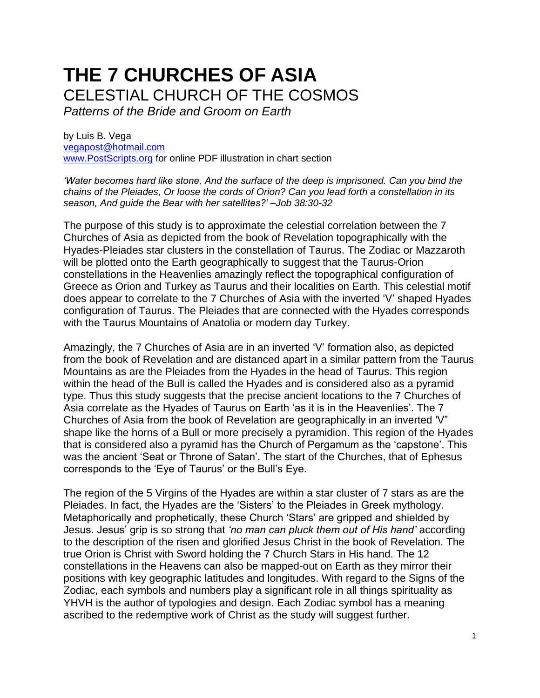# **THE 7 CHURCHES OF ASIA** CELESTIAL CHURCH OF THE COSMOS

*Patterns of the Bride and Groom on Earth*

by Luis B. Vega [vegapost@hotmail.com](mailto:vegapost@hotmail.com) [www.PostScripts.org](http://www.postscripts.org/) for online PDF illustration in chart section

*'Water becomes hard like stone, And the surface of the deep is imprisoned. Can you bind the chains of the Pleiades, Or loose the cords of Orion? Can you lead forth a constellation in its season, And guide the Bear with her satellites?' –Job 38:30-32*

The purpose of this study is to approximate the celestial correlation between the 7 Churches of Asia as depicted from the book of Revelation topographically with the Hyades-Pleiades star clusters in the constellation of Taurus. The Zodiac or Mazzaroth will be plotted onto the Earth geographically to suggest that the Taurus-Orion constellations in the Heavenlies amazingly reflect the topographical configuration of Greece as Orion and Turkey as Taurus and their localities on Earth. This celestial motif does appear to correlate to the 7 Churches of Asia with the inverted 'V' shaped Hyades configuration of Taurus. The Pleiades that are connected with the Hyades corresponds with the Taurus Mountains of Anatolia or modern day Turkey.

Amazingly, the 7 Churches of Asia are in an inverted 'V' formation also, as depicted from the book of Revelation and are distanced apart in a similar pattern from the Taurus Mountains as are the Pleiades from the Hyades in the head of Taurus. This region within the head of the Bull is called the Hyades and is considered also as a pyramid type. Thus this study suggests that the precise ancient locations to the 7 Churches of Asia correlate as the Hyades of Taurus on Earth 'as it is in the Heavenlies'. The 7 Churches of Asia from the book of Revelation are geographically in an inverted 'V" shape like the horns of a Bull or more precisely a pyramidion. This region of the Hyades that is considered also a pyramid has the Church of Pergamum as the 'capstone'. This was the ancient 'Seat or Throne of Satan'. The start of the Churches, that of Ephesus corresponds to the 'Eye of Taurus' or the Bull's Eye.

The region of the 5 Virgins of the Hyades are within a star cluster of 7 stars as are the Pleiades. In fact, the Hyades are the 'Sisters' to the Pleiades in Greek mythology. Metaphorically and prophetically, these Church 'Stars' are gripped and shielded by Jesus. Jesus' grip is so strong that *'no man can pluck them out of His hand'* according to the description of the risen and glorified Jesus Christ in the book of Revelation. The true Orion is Christ with Sword holding the 7 Church Stars in His hand. The 12 constellations in the Heavens can also be mapped-out on Earth as they mirror their positions with key geographic latitudes and longitudes. With regard to the Signs of the Zodiac, each symbols and numbers play a significant role in all things spirituality as YHVH is the author of typologies and design. Each Zodiac symbol has a meaning ascribed to the redemptive work of Christ as the study will suggest further.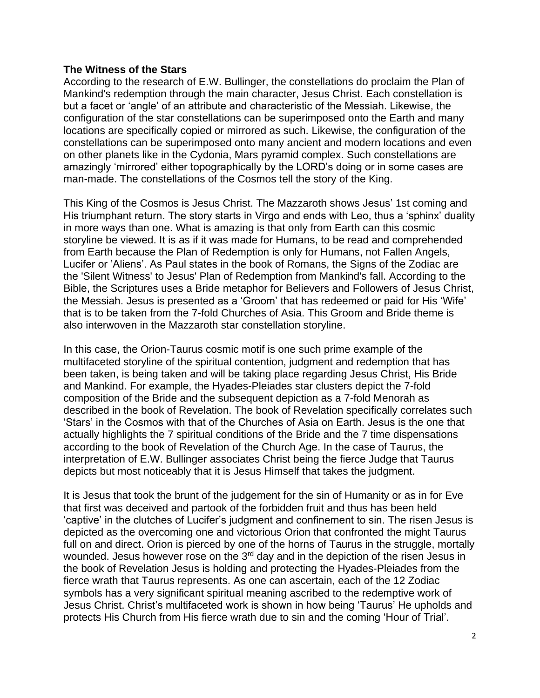#### **The Witness of the Stars**

According to the research of E.W. Bullinger, the constellations do proclaim the Plan of Mankind's redemption through the main character, Jesus Christ. Each constellation is but a facet or 'angle' of an attribute and characteristic of the Messiah. Likewise, the configuration of the star constellations can be superimposed onto the Earth and many locations are specifically copied or mirrored as such. Likewise, the configuration of the constellations can be superimposed onto many ancient and modern locations and even on other planets like in the Cydonia, Mars pyramid complex. Such constellations are amazingly 'mirrored' either topographically by the LORD's doing or in some cases are man-made. The constellations of the Cosmos tell the story of the King.

This King of the Cosmos is Jesus Christ. The Mazzaroth shows Jesus' 1st coming and His triumphant return. The story starts in Virgo and ends with Leo, thus a 'sphinx' duality in more ways than one. What is amazing is that only from Earth can this cosmic storyline be viewed. It is as if it was made for Humans, to be read and comprehended from Earth because the Plan of Redemption is only for Humans, not Fallen Angels, Lucifer or 'Aliens'. As Paul states in the book of Romans, the Signs of the Zodiac are the 'Silent Witness' to Jesus' Plan of Redemption from Mankind's fall. According to the Bible, the Scriptures uses a Bride metaphor for Believers and Followers of Jesus Christ, the Messiah. Jesus is presented as a 'Groom' that has redeemed or paid for His 'Wife' that is to be taken from the 7-fold Churches of Asia. This Groom and Bride theme is also interwoven in the Mazzaroth star constellation storyline.

In this case, the Orion-Taurus cosmic motif is one such prime example of the multifaceted storyline of the spiritual contention, judgment and redemption that has been taken, is being taken and will be taking place regarding Jesus Christ, His Bride and Mankind. For example, the Hyades-Pleiades star clusters depict the 7-fold composition of the Bride and the subsequent depiction as a 7-fold Menorah as described in the book of Revelation. The book of Revelation specifically correlates such 'Stars' in the Cosmos with that of the Churches of Asia on Earth. Jesus is the one that actually highlights the 7 spiritual conditions of the Bride and the 7 time dispensations according to the book of Revelation of the Church Age. In the case of Taurus, the interpretation of E.W. Bullinger associates Christ being the fierce Judge that Taurus depicts but most noticeably that it is Jesus Himself that takes the judgment.

It is Jesus that took the brunt of the judgement for the sin of Humanity or as in for Eve that first was deceived and partook of the forbidden fruit and thus has been held 'captive' in the clutches of Lucifer's judgment and confinement to sin. The risen Jesus is depicted as the overcoming one and victorious Orion that confronted the might Taurus full on and direct. Orion is pierced by one of the horns of Taurus in the struggle, mortally wounded. Jesus however rose on the 3<sup>rd</sup> day and in the depiction of the risen Jesus in the book of Revelation Jesus is holding and protecting the Hyades-Pleiades from the fierce wrath that Taurus represents. As one can ascertain, each of the 12 Zodiac symbols has a very significant spiritual meaning ascribed to the redemptive work of Jesus Christ. Christ's multifaceted work is shown in how being 'Taurus' He upholds and protects His Church from His fierce wrath due to sin and the coming 'Hour of Trial'.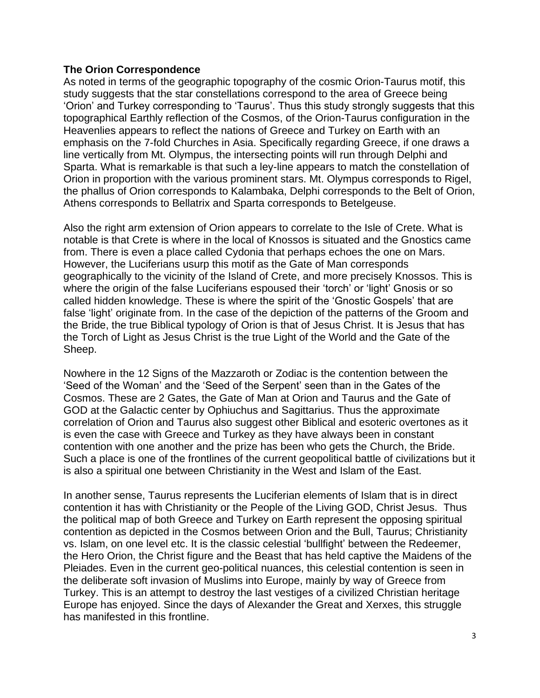#### **The Orion Correspondence**

As noted in terms of the geographic topography of the cosmic Orion-Taurus motif, this study suggests that the star constellations correspond to the area of Greece being 'Orion' and Turkey corresponding to 'Taurus'. Thus this study strongly suggests that this topographical Earthly reflection of the Cosmos, of the Orion-Taurus configuration in the Heavenlies appears to reflect the nations of Greece and Turkey on Earth with an emphasis on the 7-fold Churches in Asia. Specifically regarding Greece, if one draws a line vertically from Mt. Olympus, the intersecting points will run through Delphi and Sparta. What is remarkable is that such a ley-line appears to match the constellation of Orion in proportion with the various prominent stars. Mt. Olympus corresponds to Rigel, the phallus of Orion corresponds to Kalambaka, Delphi corresponds to the Belt of Orion, Athens corresponds to Bellatrix and Sparta corresponds to Betelgeuse.

Also the right arm extension of Orion appears to correlate to the Isle of Crete. What is notable is that Crete is where in the local of Knossos is situated and the Gnostics came from. There is even a place called Cydonia that perhaps echoes the one on Mars. However, the Luciferians usurp this motif as the Gate of Man corresponds geographically to the vicinity of the Island of Crete, and more precisely Knossos. This is where the origin of the false Luciferians espoused their 'torch' or 'light' Gnosis or so called hidden knowledge. These is where the spirit of the 'Gnostic Gospels' that are false 'light' originate from. In the case of the depiction of the patterns of the Groom and the Bride, the true Biblical typology of Orion is that of Jesus Christ. It is Jesus that has the Torch of Light as Jesus Christ is the true Light of the World and the Gate of the Sheep.

Nowhere in the 12 Signs of the Mazzaroth or Zodiac is the contention between the 'Seed of the Woman' and the 'Seed of the Serpent' seen than in the Gates of the Cosmos. These are 2 Gates, the Gate of Man at Orion and Taurus and the Gate of GOD at the Galactic center by Ophiuchus and Sagittarius. Thus the approximate correlation of Orion and Taurus also suggest other Biblical and esoteric overtones as it is even the case with Greece and Turkey as they have always been in constant contention with one another and the prize has been who gets the Church, the Bride. Such a place is one of the frontlines of the current geopolitical battle of civilizations but it is also a spiritual one between Christianity in the West and Islam of the East.

In another sense, Taurus represents the Luciferian elements of Islam that is in direct contention it has with Christianity or the People of the Living GOD, Christ Jesus. Thus the political map of both Greece and Turkey on Earth represent the opposing spiritual contention as depicted in the Cosmos between Orion and the Bull, Taurus; Christianity vs. Islam, on one level etc. It is the classic celestial 'bullfight' between the Redeemer, the Hero Orion, the Christ figure and the Beast that has held captive the Maidens of the Pleiades. Even in the current geo-political nuances, this celestial contention is seen in the deliberate soft invasion of Muslims into Europe, mainly by way of Greece from Turkey. This is an attempt to destroy the last vestiges of a civilized Christian heritage Europe has enjoyed. Since the days of Alexander the Great and Xerxes, this struggle has manifested in this frontline.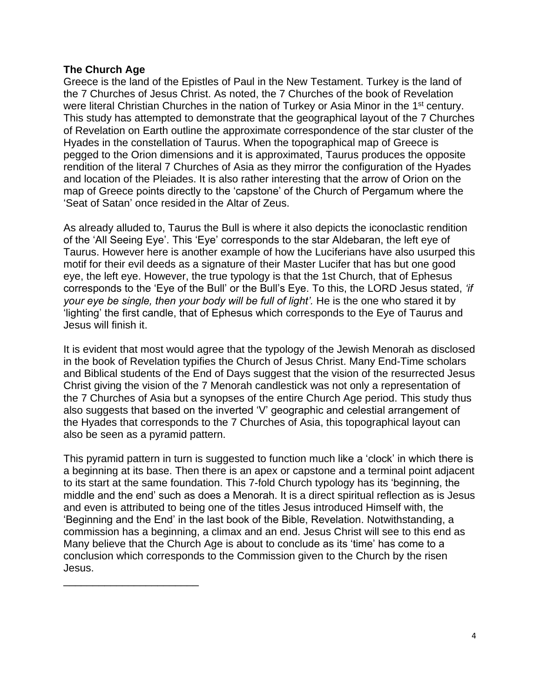### **The Church Age**

\_\_\_\_\_\_\_\_\_\_\_\_\_\_\_\_\_\_\_\_\_\_\_

Greece is the land of the Epistles of Paul in the New Testament. Turkey is the land of the 7 Churches of Jesus Christ. As noted, the 7 Churches of the book of Revelation were literal Christian Churches in the nation of Turkey or Asia Minor in the 1<sup>st</sup> century. This study has attempted to demonstrate that the geographical layout of the 7 Churches of Revelation on Earth outline the approximate correspondence of the star cluster of the Hyades in the constellation of Taurus. When the topographical map of Greece is pegged to the Orion dimensions and it is approximated, Taurus produces the opposite rendition of the literal 7 Churches of Asia as they mirror the configuration of the Hyades and location of the Pleiades. It is also rather interesting that the arrow of Orion on the map of Greece points directly to the 'capstone' of the Church of Pergamum where the 'Seat of Satan' once resided in the Altar of Zeus.

As already alluded to, Taurus the Bull is where it also depicts the iconoclastic rendition of the 'All Seeing Eye'. This 'Eye' corresponds to the star Aldebaran, the left eye of Taurus. However here is another example of how the Luciferians have also usurped this motif for their evil deeds as a signature of their Master Lucifer that has but one good eye, the left eye. However, the true typology is that the 1st Church, that of Ephesus corresponds to the 'Eye of the Bull' or the Bull's Eye. To this, the LORD Jesus stated, *'if your eye be single, then your body will be full of light'.* He is the one who stared it by 'lighting' the first candle, that of Ephesus which corresponds to the Eye of Taurus and Jesus will finish it.

It is evident that most would agree that the typology of the Jewish Menorah as disclosed in the book of Revelation typifies the Church of Jesus Christ. Many End-Time scholars and Biblical students of the End of Days suggest that the vision of the resurrected Jesus Christ giving the vision of the 7 Menorah candlestick was not only a representation of the 7 Churches of Asia but a synopses of the entire Church Age period. This study thus also suggests that based on the inverted 'V' geographic and celestial arrangement of the Hyades that corresponds to the 7 Churches of Asia, this topographical layout can also be seen as a pyramid pattern.

This pyramid pattern in turn is suggested to function much like a 'clock' in which there is a beginning at its base. Then there is an apex or capstone and a terminal point adjacent to its start at the same foundation. This 7-fold Church typology has its 'beginning, the middle and the end' such as does a Menorah. It is a direct spiritual reflection as is Jesus and even is attributed to being one of the titles Jesus introduced Himself with, the 'Beginning and the End' in the last book of the Bible, Revelation. Notwithstanding, a commission has a beginning, a climax and an end. Jesus Christ will see to this end as Many believe that the Church Age is about to conclude as its 'time' has come to a conclusion which corresponds to the Commission given to the Church by the risen Jesus.